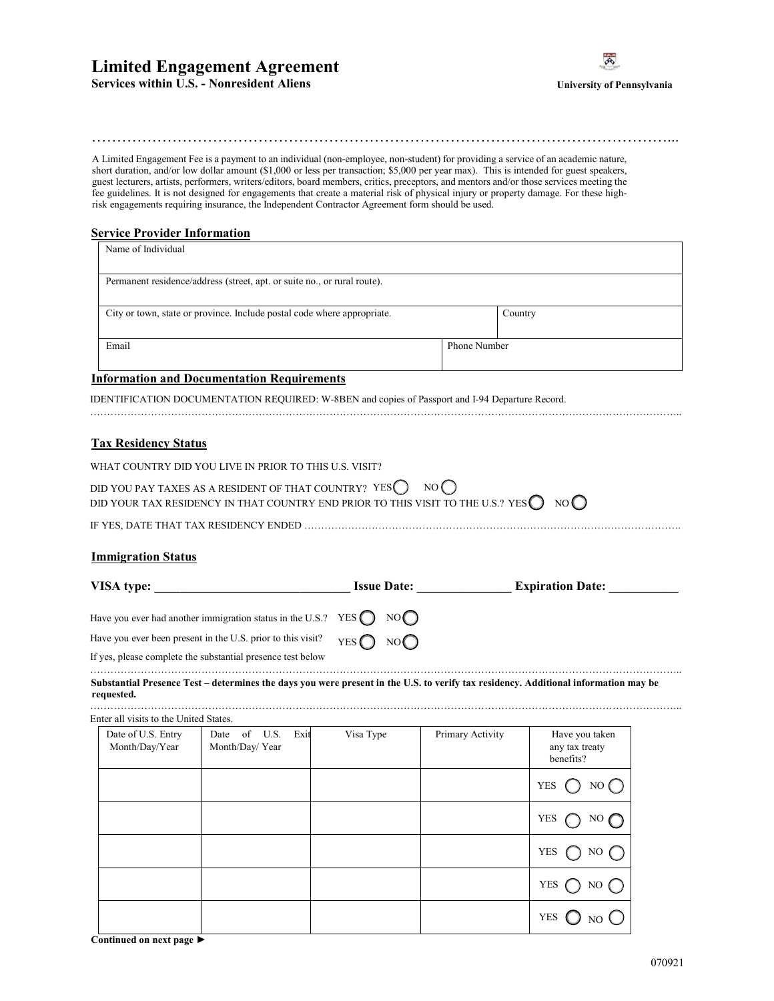# **Limited Engagement Agreement**



**Services within U.S. - Nonresident Aliens** 

# ……………………………………………………………………………………………………...

A Limited Engagement Fee is a payment to an individual (non-employee, non-student) for providing a service of an academic nature, short duration, and/or low dollar amount (\$1,000 or less per transaction; \$5,000 per year max). This is intended for guest speakers, guest lecturers, artists, performers, writers/editors, board members, critics, preceptors, and mentors and/or those services meeting the fee guidelines. It is not designed for engagements that create a material risk of physical injury or property damage. For these highrisk engagements requiring insurance, the Independent Contractor Agreement form should be used.

# **Service Provider Information**

| Name of Individual                                                       |              |         |
|--------------------------------------------------------------------------|--------------|---------|
| Permanent residence/address (street, apt. or suite no., or rural route). |              |         |
| City or town, state or province. Include postal code where appropriate.  |              | Country |
| Email                                                                    | Phone Number |         |

…………………………………………………………………………………………………………………………………………………………..

# **Information and Documentation Requirements**

IDENTIFICATION DOCUMENTATION REQUIRED: W-8BEN and copies of Passport and I-94 Departure Record.

| WHAT COUNTRY DID YOU LIVE IN PRIOR TO THIS U.S. VISIT?                                                                                                                                    |
|-------------------------------------------------------------------------------------------------------------------------------------------------------------------------------------------|
| DID YOU PAY TAXES AS A RESIDENT OF THAT COUNTRY? YES $\bigcirc$ NO $\bigcirc$<br>DID YOUR TAX RESIDENCY IN THAT COUNTRY END PRIOR TO THIS VISIT TO THE U.S.? YES $\bigcirc$ NO $\bigcirc$ |
|                                                                                                                                                                                           |

# **Immigration Status**

**Tax Residency Status**

| VISA type:                                                                                                                          |                            | <b>Issue Date:</b> | <b>Expiration Date:</b> |
|-------------------------------------------------------------------------------------------------------------------------------------|----------------------------|--------------------|-------------------------|
| Have you ever had another immigration status in the U.S.? YES $\bigcap$ NO $\bigcap$                                                |                            |                    |                         |
| Have you ever been present in the U.S. prior to this visit?                                                                         | YES $\bigcap$ NO $\bigcap$ |                    |                         |
| If yes, please complete the substantial presence test below                                                                         |                            |                    |                         |
| Substantial Presence Test – determines the days you were present in the U.S. to verify tax residency. Additional information may be |                            |                    |                         |

### **requested.**  …………………………………………………………………………………………………………………………………………………………..

Enter all visits to the United States.

| Date of U.S. Entry<br>Month/Day/Year | Date of U.S.<br>Exit<br>Month/Day/Year | Visa Type | Primary Activity | Have you taken<br>any tax treaty<br>benefits? |
|--------------------------------------|----------------------------------------|-----------|------------------|-----------------------------------------------|
|                                      |                                        |           |                  | <b>YES</b><br>NO $\bigcap$                    |
|                                      |                                        |           |                  | <b>YES</b>                                    |
|                                      |                                        |           |                  | <b>YES</b><br>NO.                             |
|                                      |                                        |           |                  | <b>YES</b><br>NO.                             |
|                                      |                                        |           |                  | <b>YES</b>                                    |